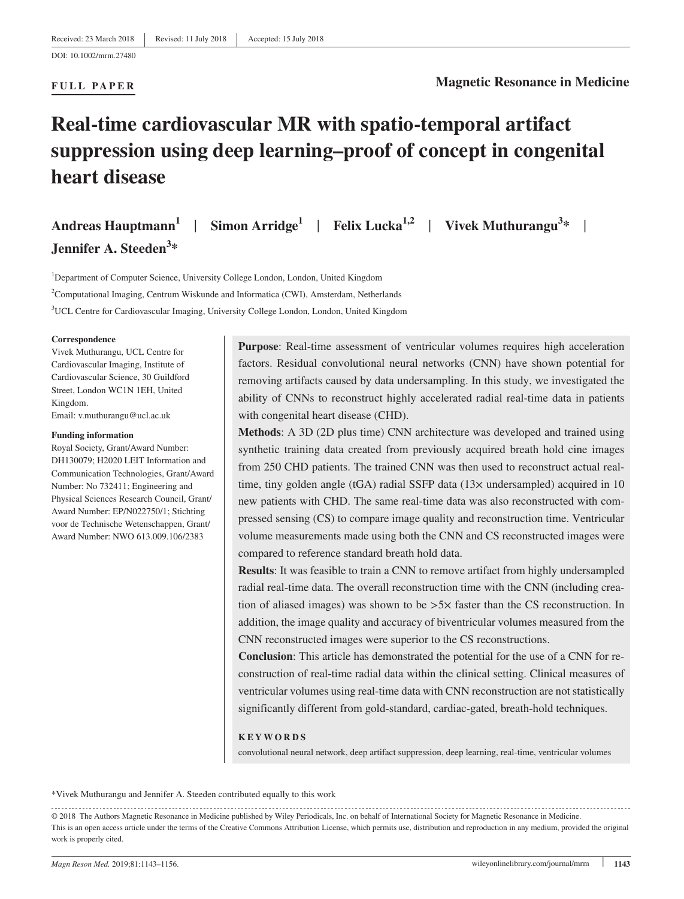# **Real‐time cardiovascular MR with spatio‐temporal artifact suppression using deep learning–proof of concept in congenital heart disease**

**Andreas Hauptmann1** | **Simon Arridge<sup>1</sup>** | **Felix Lucka1,2** | **Vivek Muthurangu3 \*** | **Jennifer A. Steeden<sup>3</sup> \***

<sup>1</sup>Department of Computer Science, University College London, London, United Kingdom <sup>2</sup>Computational Imaging, Centrum Wiskunde and Informatica (CWI), Amsterdam, Netherlands 3 UCL Centre for Cardiovascular Imaging, University College London, London, United Kingdom

#### **Correspondence**

Vivek Muthurangu, UCL Centre for Cardiovascular Imaging, Institute of Cardiovascular Science, 30 Guildford Street, London WC1N 1EH, United Kingdom. Email: [v.muthurangu@ucl.ac.uk](mailto:v.muthurangu@ucl.ac.uk)

#### **Funding information**

Royal Society, Grant/Award Number: DH130079; H2020 LEIT Information and Communication Technologies, Grant/Award Number: No 732411; Engineering and Physical Sciences Research Council, Grant/ Award Number: EP/N022750/1; Stichting voor de Technische Wetenschappen, Grant/ Award Number: NWO 613.009.106/2383

**Purpose:** Real-time assessment of ventricular volumes requires high acceleration factors. Residual convolutional neural networks (CNN) have shown potential for removing artifacts caused by data undersampling. In this study, we investigated the ability of CNNs to reconstruct highly accelerated radial real‐time data in patients with congenital heart disease (CHD).

**Methods**: A 3D (2D plus time) CNN architecture was developed and trained using synthetic training data created from previously acquired breath hold cine images from 250 CHD patients. The trained CNN was then used to reconstruct actual realtime, tiny golden angle (tGA) radial SSFP data  $(13\times$  undersampled) acquired in 10 new patients with CHD. The same real‐time data was also reconstructed with compressed sensing (CS) to compare image quality and reconstruction time. Ventricular volume measurements made using both the CNN and CS reconstructed images were compared to reference standard breath hold data.

**Results**: It was feasible to train a CNN to remove artifact from highly undersampled radial real-time data. The overall reconstruction time with the CNN (including creation of aliased images) was shown to be  $>5\times$  faster than the CS reconstruction. In addition, the image quality and accuracy of biventricular volumes measured from the CNN reconstructed images were superior to the CS reconstructions.

**Conclusion**: This article has demonstrated the potential for the use of a CNN for reconstruction of real-time radial data within the clinical setting. Clinical measures of ventricular volumes using real‐time data with CNN reconstruction are not statistically significantly different from gold‐standard, cardiac‐gated, breath‐hold techniques.

### **KEYWORDS**

convolutional neural network, deep artifact suppression, deep learning, real-time, ventricular volumes

\*Vivek Muthurangu and Jennifer A. Steeden contributed equally to this work

<sup>© 2018</sup> The Authors Magnetic Resonance in Medicine published by Wiley Periodicals, Inc. on behalf of International Society for Magnetic Resonance in Medicine. This is an open access article under the terms of the Creative Commons Attribution License, which permits use, distribution and reproduction in any medium, provided the original work is properly cited.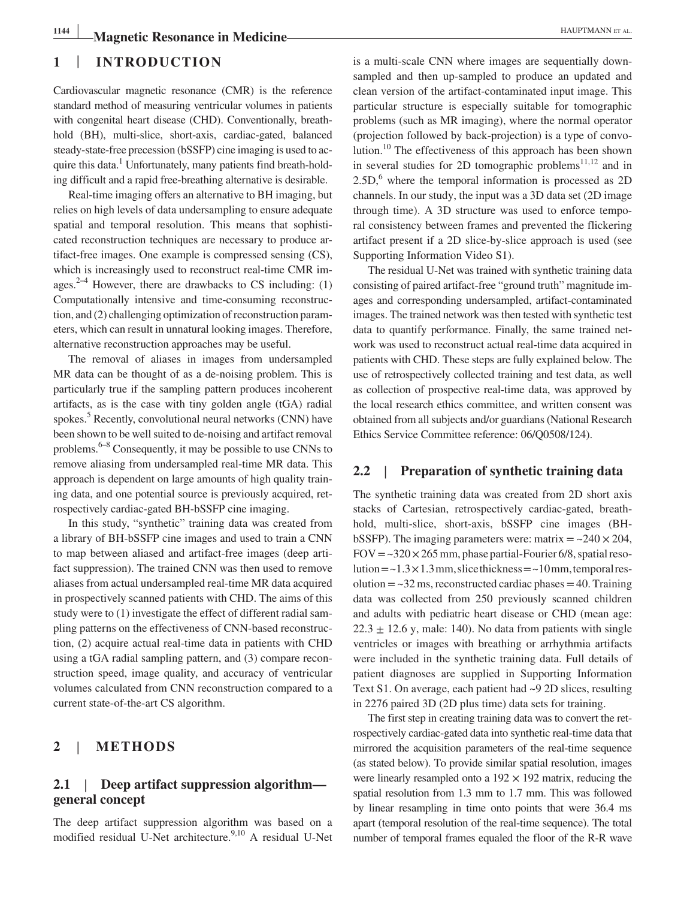### **1** | **INTRODUCTION**

Cardiovascular magnetic resonance (CMR) is the reference standard method of measuring ventricular volumes in patients with congenital heart disease (CHD). Conventionally, breathhold (BH), multi-slice, short-axis, cardiac-gated, balanced steady‐state‐free precession (bSSFP) cine imaging is used to acquire this data.<sup>1</sup> Unfortunately, many patients find breath-holding difficult and a rapid free‐breathing alternative is desirable.

Real‐time imaging offers an alternative to BH imaging, but relies on high levels of data undersampling to ensure adequate spatial and temporal resolution. This means that sophisticated reconstruction techniques are necessary to produce artifact‐free images. One example is compressed sensing (CS), which is increasingly used to reconstruct real-time CMR images.<sup>2–4</sup> However, there are drawbacks to CS including: (1) Computationally intensive and time‐consuming reconstruction, and (2) challenging optimization of reconstruction parameters, which can result in unnatural looking images. Therefore, alternative reconstruction approaches may be useful.

The removal of aliases in images from undersampled MR data can be thought of as a de-noising problem. This is particularly true if the sampling pattern produces incoherent artifacts, as is the case with tiny golden angle (tGA) radial spokes.<sup>5</sup> Recently, convolutional neural networks (CNN) have been shown to be well suited to de‐noising and artifact removal problems. $6-8$  Consequently, it may be possible to use CNNs to remove aliasing from undersampled real‐time MR data. This approach is dependent on large amounts of high quality training data, and one potential source is previously acquired, retrospectively cardiac‐gated BH‐bSSFP cine imaging.

In this study, "synthetic" training data was created from a library of BH‐bSSFP cine images and used to train a CNN to map between aliased and artifact‐free images (deep artifact suppression). The trained CNN was then used to remove aliases from actual undersampled real‐time MR data acquired in prospectively scanned patients with CHD. The aims of this study were to (1) investigate the effect of different radial sampling patterns on the effectiveness of CNN‐based reconstruction, (2) acquire actual real‐time data in patients with CHD using a tGA radial sampling pattern, and (3) compare reconstruction speed, image quality, and accuracy of ventricular volumes calculated from CNN reconstruction compared to a current state‐of‐the‐art CS algorithm.

### **2** | **METHODS**

### **2.1** | **Deep artifact suppression algorithm general concept**

The deep artifact suppression algorithm was based on a modified residual U-Net architecture.<sup>9,10</sup> A residual U-Net is a multi-scale CNN where images are sequentially downsampled and then up-sampled to produce an updated and clean version of the artifact-contaminated input image. This particular structure is especially suitable for tomographic problems (such as MR imaging), where the normal operator (projection followed by back‐projection) is a type of convolution.<sup>10</sup> The effectiveness of this approach has been shown in several studies for 2D tomographic problems $11,12$  and in  $2.5D$ , where the temporal information is processed as  $2D$ channels. In our study, the input was a 3D data set (2D image through time). A 3D structure was used to enforce temporal consistency between frames and prevented the flickering artifact present if a 2D slice‐by‐slice approach is used (see Supporting Information Video S1).

The residual U‐Net was trained with synthetic training data consisting of paired artifact‐free "ground truth" magnitude images and corresponding undersampled, artifact‐contaminated images. The trained network was then tested with synthetic test data to quantify performance. Finally, the same trained network was used to reconstruct actual real‐time data acquired in patients with CHD. These steps are fully explained below. The use of retrospectively collected training and test data, as well as collection of prospective real‐time data, was approved by the local research ethics committee, and written consent was obtained from all subjects and/or guardians (National Research Ethics Service Committee reference: 06/Q0508/124).

### **2.2** | **Preparation of synthetic training data**

The synthetic training data was created from 2D short axis stacks of Cartesian, retrospectively cardiac‐gated, breath‐ hold, multi‐slice, short‐axis, bSSFP cine images (BH‐ bSSFP). The imaging parameters were: matrix  $=$   $\approx$  240  $\times$  204,  $FOV = -320 \times 265$  mm, phase partial-Fourier 6/8, spatial resolution  $=$  ~1.3  $\times$  1.3 mm, slice thickness  $=$  ~10 mm, temporal res $olution = -32$  ms, reconstructed cardiac phases  $= 40$ . Training data was collected from 250 previously scanned children and adults with pediatric heart disease or CHD (mean age:  $22.3 \pm 12.6$  y, male: 140). No data from patients with single ventricles or images with breathing or arrhythmia artifacts were included in the synthetic training data. Full details of patient diagnoses are supplied in Supporting Information Text S1. On average, each patient had ~9 2D slices, resulting in 2276 paired 3D (2D plus time) data sets for training.

The first step in creating training data was to convert the retrospectively cardiac‐gated data into synthetic real‐time data that mirrored the acquisition parameters of the real-time sequence (as stated below). To provide similar spatial resolution, images were linearly resampled onto a  $192 \times 192$  matrix, reducing the spatial resolution from 1.3 mm to 1.7 mm. This was followed by linear resampling in time onto points that were 36.4 ms apart (temporal resolution of the real‐time sequence). The total number of temporal frames equaled the floor of the R‐R wave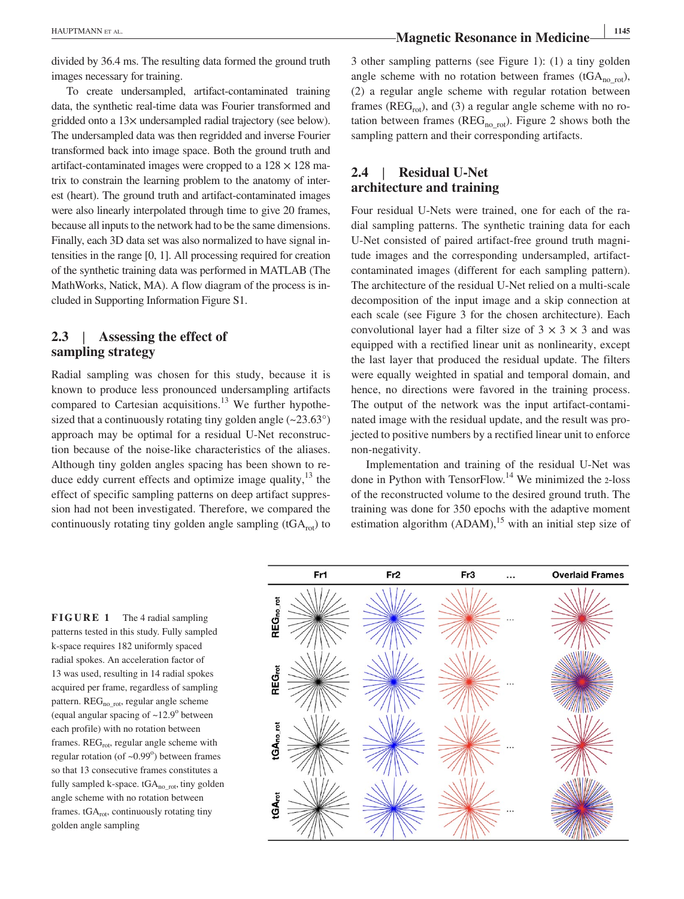divided by 36.4 ms. The resulting data formed the ground truth images necessary for training.

To create undersampled, artifact-contaminated training data, the synthetic real‐time data was Fourier transformed and gridded onto a 13× undersampled radial trajectory (see below). The undersampled data was then regridded and inverse Fourier transformed back into image space. Both the ground truth and artifact-contaminated images were cropped to a  $128 \times 128$  matrix to constrain the learning problem to the anatomy of interest (heart). The ground truth and artifact-contaminated images were also linearly interpolated through time to give 20 frames, because all inputs to the network had to be the same dimensions. Finally, each 3D data set was also normalized to have signal intensities in the range [0, 1]. All processing required for creation of the synthetic training data was performed in MATLAB (The MathWorks, Natick, MA). A flow diagram of the process is included in Supporting Information Figure S1.

### **2.3** | **Assessing the effect of sampling strategy**

Radial sampling was chosen for this study, because it is known to produce less pronounced undersampling artifacts compared to Cartesian acquisitions.<sup>13</sup> We further hypothesized that a continuously rotating tiny golden angle  $(-23.63^{\circ})$ approach may be optimal for a residual U‐Net reconstruction because of the noise‐like characteristics of the aliases. Although tiny golden angles spacing has been shown to reduce eddy current effects and optimize image quality,  $13$  the effect of specific sampling patterns on deep artifact suppression had not been investigated. Therefore, we compared the continuously rotating tiny golden angle sampling  $(tGA_{rot})$  to

3 other sampling patterns (see Figure 1): (1) a tiny golden angle scheme with no rotation between frames (tGA<sub>no-rot</sub>), (2) a regular angle scheme with regular rotation between frames ( $REG_{rot}$ ), and (3) a regular angle scheme with no rotation between frames ( $REG<sub>no rot</sub>$ ). Figure 2 shows both the sampling pattern and their corresponding artifacts.

# **2.4** | **Residual U‐Net architecture and training**

Four residual U‐Nets were trained, one for each of the radial sampling patterns. The synthetic training data for each U‐Net consisted of paired artifact‐free ground truth magnitude images and the corresponding undersampled, artifactcontaminated images (different for each sampling pattern). The architecture of the residual U‐Net relied on a multi‐scale decomposition of the input image and a skip connection at each scale (see Figure 3 for the chosen architecture). Each convolutional layer had a filter size of  $3 \times 3 \times 3$  and was equipped with a rectified linear unit as nonlinearity, except the last layer that produced the residual update. The filters were equally weighted in spatial and temporal domain, and hence, no directions were favored in the training process. The output of the network was the input artifact-contaminated image with the residual update, and the result was projected to positive numbers by a rectified linear unit to enforce non‐negativity.

Implementation and training of the residual U‐Net was done in Python with TensorFlow.14 We minimized the <sup>2</sup>‐loss of the reconstructed volume to the desired ground truth. The training was done for 350 epochs with the adaptive moment estimation algorithm  $(ADAM)$ ,<sup>15</sup> with an initial step size of

**FIGURE 1** The 4 radial sampling patterns tested in this study. Fully sampled k‐space requires 182 uniformly spaced radial spokes. An acceleration factor of 13 was used, resulting in 14 radial spokes acquired per frame, regardless of sampling pattern. REG<sub>norot</sub>, regular angle scheme (equal angular spacing of  $\sim$ 12.9 $^{\circ}$  between each profile) with no rotation between frames.  $REG_{rot}$ , regular angle scheme with regular rotation (of  $\sim 0.99^\circ$ ) between frames so that 13 consecutive frames constitutes a fully sampled k-space.  $tGA_{no\ rot}$ , tiny golden angle scheme with no rotation between frames. tGA<sub>rot</sub>, continuously rotating tiny golden angle sampling

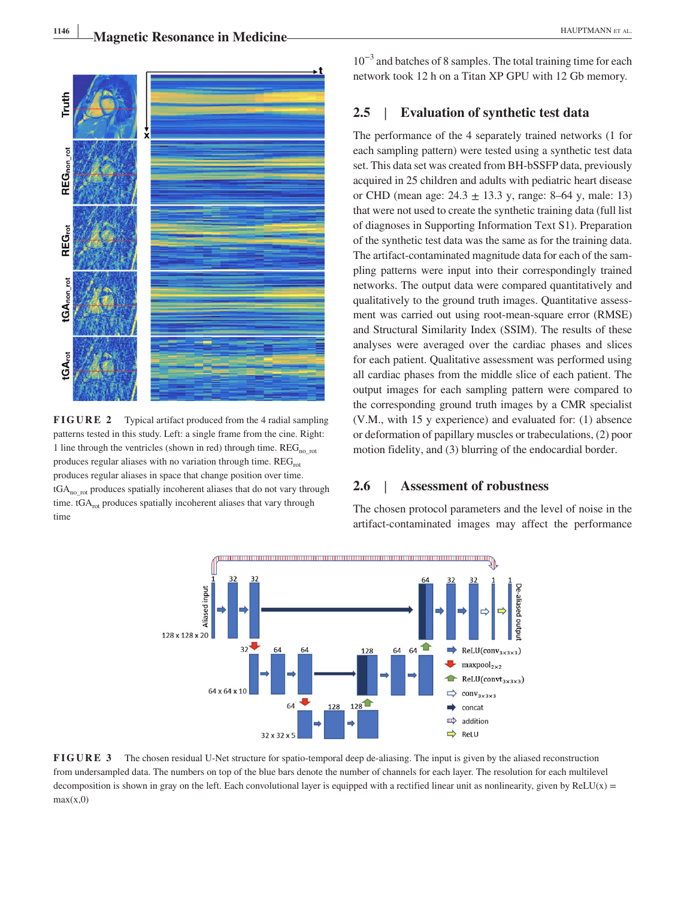

**FIGURE 2** Typical artifact produced from the 4 radial sampling patterns tested in this study. Left: a single frame from the cine. Right: 1 line through the ventricles (shown in red) through time.  $REG<sub>no-rot</sub>$ produces regular aliases with no variation through time.  $REG<sub>rot</sub>$ produces regular aliases in space that change position over time.  $tGA<sub>no rot</sub>$  produces spatially incoherent aliases that do not vary through time. tGA<sub>rot</sub> produces spatially incoherent aliases that vary through time  $\sum_{i=1}^{\infty}$ 

 $10^{-3}$  and batches of 8 samples. The total training time for each network took 12 h on a Titan XP GPU with 12 Gb memory.

### **2.5** | **Evaluation of synthetic test data**

The performance of the 4 separately trained networks (1 for each sampling pattern) were tested using a synthetic test data set. This data set was created from BH‐bSSFP data, previously acquired in 25 children and adults with pediatric heart disease or CHD (mean age:  $24.3 \pm 13.3$  y, range: 8–64 y, male: 13) that were not used to create the synthetic training data (full list of diagnoses in Supporting Information Text S1). Preparation of the synthetic test data was the same as for the training data. The artifact-contaminated magnitude data for each of the sampling patterns were input into their correspondingly trained networks. The output data were compared quantitatively and qualitatively to the ground truth images. Quantitative assessment was carried out using root‐mean‐square error (RMSE) and Structural Similarity Index (SSIM). The results of these analyses were averaged over the cardiac phases and slices for each patient. Qualitative assessment was performed using all cardiac phases from the middle slice of each patient. The output images for each sampling pattern were compared to the corresponding ground truth images by a CMR specialist (V.M., with 15 y experience) and evaluated for: (1) absence or deformation of papillary muscles or trabeculations, (2) poor motion fidelity, and (3) blurring of the endocardial border.

### **2.6** | **Assessment of robustness**

The chosen protocol parameters and the level of noise in the artifact‐contaminated images may affect the performance



**FIGURE 3** The chosen residual U–Net structure for spatio-temporal deep de-aliasing. The input is given by the aliased reconstruction from undersampled data. The numbers on top of the blue bars denote the number of channels for each layer. The resolution for each multilevel decomposition is shown in gray on the left. Each convolutional layer is equipped with a rectified linear unit as nonlinearity, given by ReLU(x) =  $max(x,0)$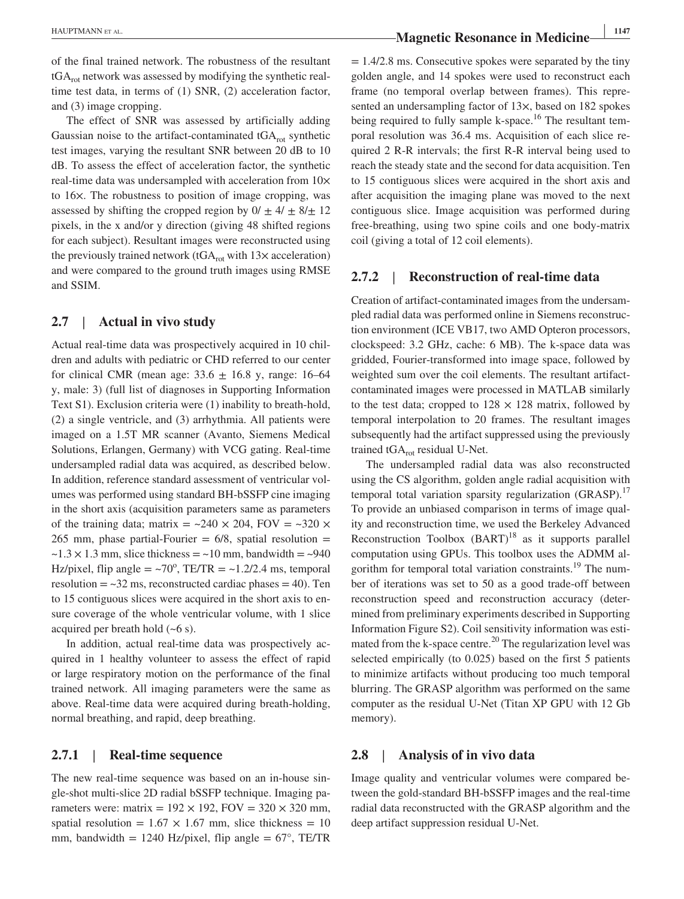of the final trained network. The robustness of the resultant  $tGA<sub>rot</sub>$  network was assessed by modifying the synthetic realtime test data, in terms of (1) SNR, (2) acceleration factor, and (3) image cropping.

The effect of SNR was assessed by artificially adding Gaussian noise to the artifact-contaminated  $tGA<sub>rot</sub>$  synthetic test images, varying the resultant SNR between 20 dB to 10 dB. To assess the effect of acceleration factor, the synthetic real-time data was undersampled with acceleration from  $10\times$ to 16×. The robustness to position of image cropping, was assessed by shifting the cropped region by  $0/\pm 4/\pm 8/\pm 12$ pixels, in the x and/or y direction (giving 48 shifted regions for each subject). Resultant images were reconstructed using the previously trained network (tGA<sub>rot</sub> with  $13\times$  acceleration) and were compared to the ground truth images using RMSE and SSIM.

### **2.7** | **Actual in vivo study**

Actual real-time data was prospectively acquired in 10 children and adults with pediatric or CHD referred to our center for clinical CMR (mean age:  $33.6 \pm 16.8$  y, range: 16–64 y, male: 3) (full list of diagnoses in Supporting Information Text S1). Exclusion criteria were (1) inability to breath-hold, (2) a single ventricle, and (3) arrhythmia. All patients were imaged on a 1.5T MR scanner (Avanto, Siemens Medical Solutions, Erlangen, Germany) with VCG gating. Real‐time undersampled radial data was acquired, as described below. In addition, reference standard assessment of ventricular volumes was performed using standard BH‐bSSFP cine imaging in the short axis (acquisition parameters same as parameters of the training data; matrix =  $\sim$ 240  $\times$  204, FOV =  $\sim$ 320  $\times$ 265 mm, phase partial-Fourier  $= 6/8$ , spatial resolution  $=$  $\sim$ 1.3  $\times$  1.3 mm, slice thickness =  $\sim$ 10 mm, bandwidth =  $\sim$ 940 Hz/pixel, flip angle =  $\sim 70^{\circ}$ , TE/TR =  $\sim 1.2/2.4$  ms, temporal resolution  $=$  ~32 ms, reconstructed cardiac phases  $=$  40). Ten to 15 contiguous slices were acquired in the short axis to ensure coverage of the whole ventricular volume, with 1 slice acquired per breath hold  $(-6 s)$ .

In addition, actual real-time data was prospectively acquired in 1 healthy volunteer to assess the effect of rapid or large respiratory motion on the performance of the final trained network. All imaging parameters were the same as above. Real‐time data were acquired during breath‐holding, normal breathing, and rapid, deep breathing.

### **2.7.1** | **Real‐time sequence**

The new real-time sequence was based on an in-house single‐shot multi‐slice 2D radial bSSFP technique. Imaging parameters were: matrix =  $192 \times 192$ , FOV =  $320 \times 320$  mm, spatial resolution =  $1.67 \times 1.67$  mm, slice thickness = 10 mm, bandwidth = 1240 Hz/pixel, flip angle =  $67^{\circ}$ , TE/TR  $= 1.4/2.8$  ms. Consecutive spokes were separated by the tiny golden angle, and 14 spokes were used to reconstruct each frame (no temporal overlap between frames). This represented an undersampling factor of 13 $\times$ , based on 182 spokes being required to fully sample k-space.<sup>16</sup> The resultant temporal resolution was 36.4 ms. Acquisition of each slice required 2 R‐R intervals; the first R‐R interval being used to reach the steady state and the second for data acquisition. Ten to 15 contiguous slices were acquired in the short axis and after acquisition the imaging plane was moved to the next contiguous slice. Image acquisition was performed during free-breathing, using two spine coils and one body-matrix coil (giving a total of 12 coil elements).

### **2.7.2** | **Reconstruction of real‐time data**

Creation of artifact-contaminated images from the undersampled radial data was performed online in Siemens reconstruction environment (ICE VB17, two AMD Opteron processors, clockspeed: 3.2 GHz, cache: 6 MB). The k‐space data was gridded, Fourier‐transformed into image space, followed by weighted sum over the coil elements. The resultant artifactcontaminated images were processed in MATLAB similarly to the test data; cropped to  $128 \times 128$  matrix, followed by temporal interpolation to 20 frames. The resultant images subsequently had the artifact suppressed using the previously trained  $tGA_{rot}$  residual U-Net.

The undersampled radial data was also reconstructed using the CS algorithm, golden angle radial acquisition with temporal total variation sparsity regularization (GRASP).<sup>17</sup> To provide an unbiased comparison in terms of image quality and reconstruction time, we used the Berkeley Advanced Reconstruction Toolbox  $(BART)^{18}$  as it supports parallel computation using GPUs. This toolbox uses the ADMM algorithm for temporal total variation constraints.<sup>19</sup> The number of iterations was set to 50 as a good trade‐off between reconstruction speed and reconstruction accuracy (determined from preliminary experiments described in Supporting Information Figure S2). Coil sensitivity information was estimated from the k-space centre. $^{20}$  The regularization level was selected empirically (to 0.025) based on the first 5 patients to minimize artifacts without producing too much temporal blurring. The GRASP algorithm was performed on the same computer as the residual U‐Net (Titan XP GPU with 12 Gb memory).

### **2.8** | **Analysis of in vivo data**

Image quality and ventricular volumes were compared between the gold‐standard BH‐bSSFP images and the real‐time radial data reconstructed with the GRASP algorithm and the deep artifact suppression residual U‐Net.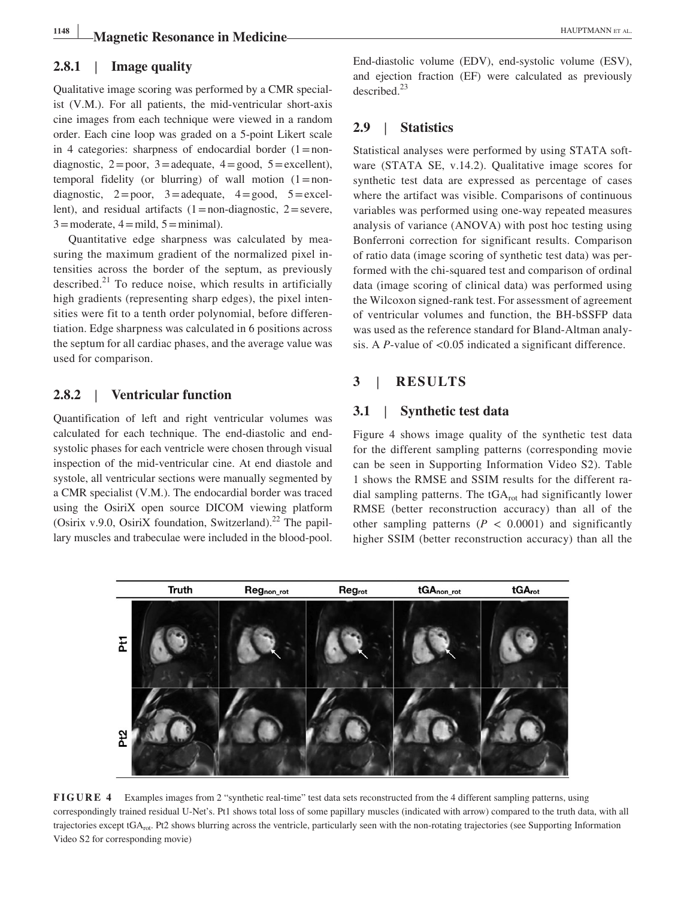### **2.8.1** | **Image quality**

Qualitative image scoring was performed by a CMR specialist (V.M.). For all patients, the mid‐ventricular short‐axis cine images from each technique were viewed in a random order. Each cine loop was graded on a 5‐point Likert scale in 4 categories: sharpness of endocardial border  $(1=non$ diagnostic,  $2 = poor$ ,  $3 = adequate$ ,  $4 = good$ ,  $5 = excellent$ ), temporal fidelity (or blurring) of wall motion  $(1=non$ diagnostic,  $2 = poor$ ,  $3 = adequate$ ,  $4 = good$ ,  $5 = excellent$ lent), and residual artifacts  $(1=non-diagnostic, 2=severe,$  $3 =$ moderate,  $4 =$ mild,  $5 =$ minimal).

Quantitative edge sharpness was calculated by measuring the maximum gradient of the normalized pixel intensities across the border of the septum, as previously described.<sup>21</sup> To reduce noise, which results in artificially high gradients (representing sharp edges), the pixel intensities were fit to a tenth order polynomial, before differentiation. Edge sharpness was calculated in 6 positions across the septum for all cardiac phases, and the average value was used for comparison.

### **2.8.2** | **Ventricular function**

Quantification of left and right ventricular volumes was calculated for each technique. The end‐diastolic and end‐ systolic phases for each ventricle were chosen through visual inspection of the mid‐ventricular cine. At end diastole and systole, all ventricular sections were manually segmented by a CMR specialist (V.M.). The endocardial border was traced using the OsiriX open source DICOM viewing platform (Osirix v.9.0, OsiriX foundation, Switzerland).<sup>22</sup> The papillary muscles and trabeculae were included in the blood‐pool. End‐diastolic volume (EDV), end‐systolic volume (ESV), and ejection fraction (EF) were calculated as previously  $described.<sup>23</sup>$ 

### **2.9** | **Statistics**

Statistical analyses were performed by using STATA software (STATA SE, v.14.2). Qualitative image scores for synthetic test data are expressed as percentage of cases where the artifact was visible. Comparisons of continuous variables was performed using one‐way repeated measures analysis of variance (ANOVA) with post hoc testing using Bonferroni correction for significant results. Comparison of ratio data (image scoring of synthetic test data) was performed with the chi‐squared test and comparison of ordinal data (image scoring of clinical data) was performed using the Wilcoxon signed‐rank test. For assessment of agreement of ventricular volumes and function, the BH‐bSSFP data was used as the reference standard for Bland‐Altman analysis. A *P*-value of <0.05 indicated a significant difference.

# **3** | **RESULTS**

### **3.1** | **Synthetic test data**

Figure 4 shows image quality of the synthetic test data for the different sampling patterns (corresponding movie can be seen in Supporting Information Video S2). Table 1 shows the RMSE and SSIM results for the different radial sampling patterns. The  $tGA_{rot}$  had significantly lower RMSE (better reconstruction accuracy) than all of the other sampling patterns  $(P < 0.0001)$  and significantly higher SSIM (better reconstruction accuracy) than all the



**FIGURE 4** Examples images from 2 "synthetic real-time" test data sets reconstructed from the 4 different sampling patterns, using correspondingly trained residual U-Net's. Pt1 shows total loss of some papillary muscles (indicated with arrow) compared to the truth data, with all trajectories except tGA<sub>rot</sub>. Pt2 shows blurring across the ventricle, particularly seen with the non-rotating trajectories (see Supporting Information Video S2 for corresponding movie)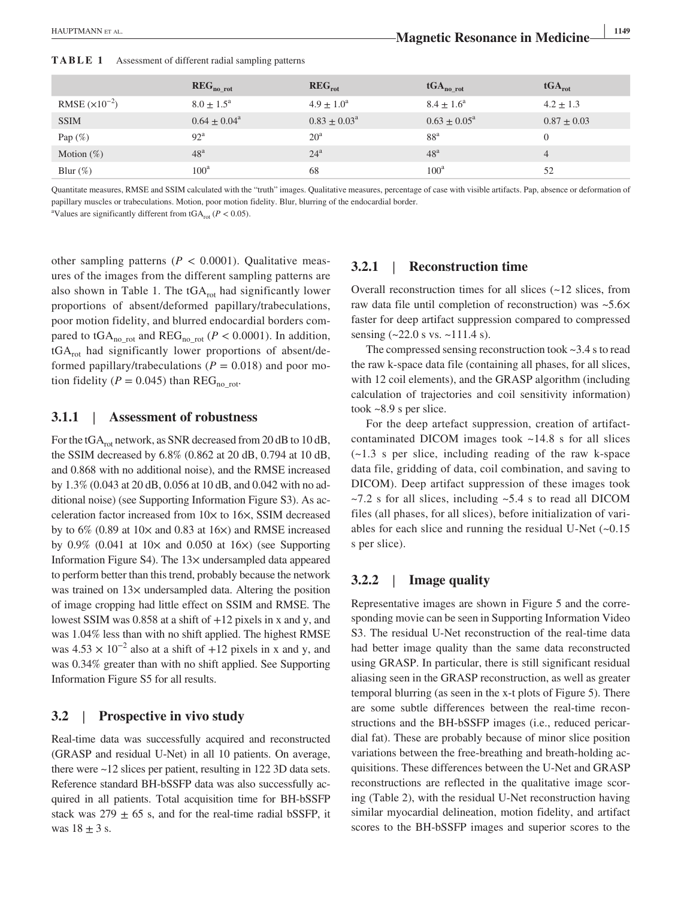|                   | REG <sub>no rot</sub> | $\mathbf{REG}_{\text{rot}}$ | $tGA_{no.}$                | $tGA_{rot}$     |
|-------------------|-----------------------|-----------------------------|----------------------------|-----------------|
| RMSE $(x10^{-2})$ | $8.0 \pm 1.5^{\circ}$ | $4.9 \pm 1.0^a$             | $8.4 \pm 1.6^{\circ}$      | $4.2 \pm 1.3$   |
| <b>SSIM</b>       | $0.64 + 0.04^a$       | $0.83 \pm 0.03^{\text{a}}$  | $0.63 \pm 0.05^{\text{a}}$ | $0.87 \pm 0.03$ |
| Pap $(\%)$        | $92^{\rm a}$          | $20^{\rm a}$                | 88 <sup>a</sup>            | 0               |
| Motion $(\%)$     | 48 <sup>a</sup>       | $24^a$                      | 48 <sup>a</sup>            | 4               |
| Blur $(\%)$       | $100^{\rm a}$         | 68                          | $100^a$                    | 52              |

**TABLE 1** Assessment of different radial sampling patterns

Quantitate measures, RMSE and SSIM calculated with the "truth" images. Qualitative measures, percentage of case with visible artifacts. Pap, absence or deformation of papillary muscles or trabeculations. Motion, poor motion fidelity. Blur, blurring of the endocardial border.

<sup>a</sup>Values are significantly different from tGA<sub>rot</sub> ( $P < 0.05$ ).

other sampling patterns ( $P < 0.0001$ ). Qualitative measures of the images from the different sampling patterns are also shown in Table 1. The  $tGA_{rot}$  had significantly lower proportions of absent/deformed papillary/trabeculations, poor motion fidelity, and blurred endocardial borders compared to tGA<sub>no\_rot</sub> and REG<sub>no\_rot</sub> ( $P < 0.0001$ ). In addition, tGA<sub>rot</sub> had significantly lower proportions of absent/deformed papillary/trabeculations ( $P = 0.018$ ) and poor motion fidelity ( $P = 0.045$ ) than REG<sub>norot</sub>.

### **3.1.1** | **Assessment of robustness**

For the tGA<sub>rot</sub> network, as SNR decreased from 20 dB to 10 dB, the SSIM decreased by 6.8% (0.862 at 20 dB, 0.794 at 10 dB, and 0.868 with no additional noise), and the RMSE increased by 1.3% (0.043 at 20 dB, 0.056 at 10 dB, and 0.042 with no additional noise) (see Supporting Information Figure S3). As acceleration factor increased from 10× to 16×, SSIM decreased by to  $6\%$  (0.89 at  $10\times$  and 0.83 at  $16\times$ ) and RMSE increased by  $0.9\%$  (0.041 at  $10\times$  and 0.050 at  $16\times$ ) (see Supporting Information Figure S4). The 13× undersampled data appeared to perform better than this trend, probably because the network was trained on  $13x$  undersampled data. Altering the position of image cropping had little effect on SSIM and RMSE. The lowest SSIM was 0.858 at a shift of +12 pixels in x and y, and was 1.04% less than with no shift applied. The highest RMSE was  $4.53 \times 10^{-2}$  also at a shift of +12 pixels in x and y, and was 0.34% greater than with no shift applied. See Supporting Information Figure S5 for all results.

### **3.2** | **Prospective in vivo study**

Real‐time data was successfully acquired and reconstructed (GRASP and residual U‐Net) in all 10 patients. On average, there were ~12 slices per patient, resulting in 122 3D data sets. Reference standard BH‐bSSFP data was also successfully acquired in all patients. Total acquisition time for BH‐bSSFP stack was  $279 \pm 65$  s, and for the real-time radial bSSFP, it was  $18 \pm 3$  s.

### **3.2.1** | **Reconstruction time**

Overall reconstruction times for all slices (~12 slices, from raw data file until completion of reconstruction) was ~5.6× faster for deep artifact suppression compared to compressed sensing (~22.0 s vs. ~111.4 s).

The compressed sensing reconstruction took ~3.4 s to read the raw k‐space data file (containing all phases, for all slices, with 12 coil elements), and the GRASP algorithm (including calculation of trajectories and coil sensitivity information) took ~8.9 s per slice.

For the deep artefact suppression, creation of artifact– contaminated DICOM images took ~14.8 s for all slices  $(-1.3 \text{ s per slice}, \text{ including reading of the raw k-space})$ data file, gridding of data, coil combination, and saving to DICOM). Deep artifact suppression of these images took  $\sim$ 7.2 s for all slices, including  $\sim$ 5.4 s to read all DICOM files (all phases, for all slices), before initialization of variables for each slice and running the residual U-Net  $(-0.15)$ s per slice).

### **3.2.2** | **Image quality**

Representative images are shown in Figure 5 and the corresponding movie can be seen in Supporting Information Video S3. The residual U-Net reconstruction of the real-time data had better image quality than the same data reconstructed using GRASP. In particular, there is still significant residual aliasing seen in the GRASP reconstruction, as well as greater temporal blurring (as seen in the x‐t plots of Figure 5). There are some subtle differences between the real‐time reconstructions and the BH‐bSSFP images (i.e., reduced pericardial fat). These are probably because of minor slice position variations between the free‐breathing and breath‐holding acquisitions. These differences between the U‐Net and GRASP reconstructions are reflected in the qualitative image scoring (Table 2), with the residual U‐Net reconstruction having similar myocardial delineation, motion fidelity, and artifact scores to the BH-bSSFP images and superior scores to the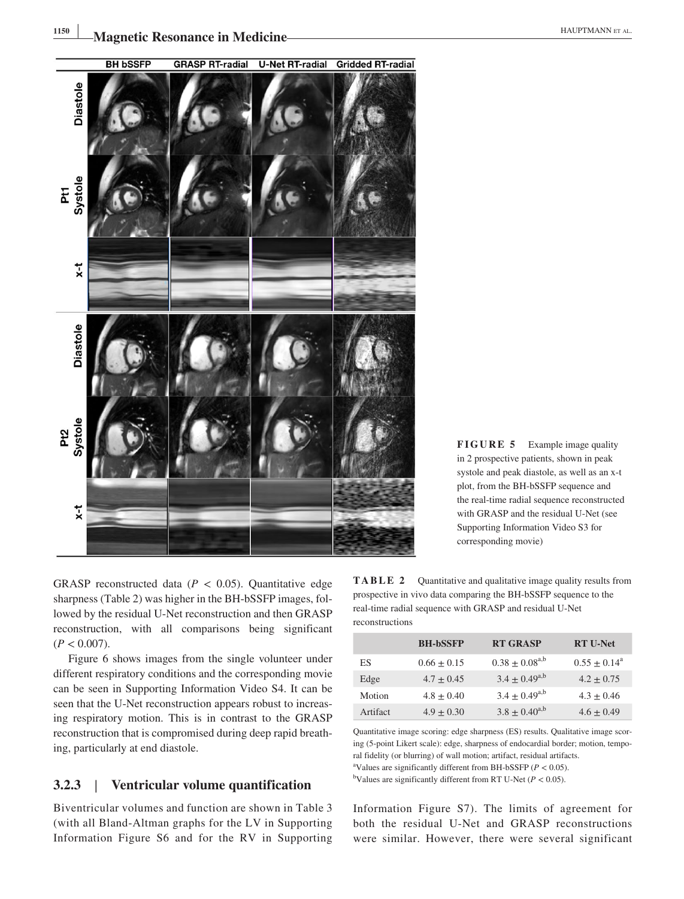

GRASP reconstructed data ( $P < 0.05$ ). Quantitative edge sharpness (Table 2) was higher in the BH-bSSFP images, followed by the residual U‐Net reconstruction and then GRASP reconstruction, with all comparisons being significant  $(P < 0.007)$ .

Figure 6 shows images from the single volunteer under different respiratory conditions and the corresponding movie can be seen in Supporting Information Video S4. It can be seen that the U-Net reconstruction appears robust to increasing respiratory motion. This is in contrast to the GRASP reconstruction that is compromised during deep rapid breathing, particularly at end diastole.

### **3.2.3** | **Ventricular volume quantification**

Biventricular volumes and function are shown in Table 3 (with all Bland‐Altman graphs for the LV in Supporting Information Figure S6 and for the RV in Supporting **FIGURE 5** Example image quality in 2 prospective patients, shown in peak systole and peak diastole, as well as an x‐t plot, from the BH‐bSSFP sequence and the real-time radial sequence reconstructed with GRASP and the residual U‐Net (see Supporting Information Video S3 for corresponding movie)

**TABLE 2** Quantitative and qualitative image quality results from prospective in vivo data comparing the BH‐bSSFP sequence to the real‐time radial sequence with GRASP and residual U‐Net reconstructions

|          | <b>BH-bSSFP</b> | <b>RT GRASP</b>      | <b>RT U-Net</b> |
|----------|-----------------|----------------------|-----------------|
| ES       | $0.66 \pm 0.15$ | $0.38 + 0.08^{a,b}$  | $0.55 + 0.14^a$ |
| Edge     | $4.7 + 0.45$    | $3.4 \pm 0.49^{a,b}$ | $4.2 + 0.75$    |
| Motion   | $4.8 + 0.40$    | $3.4 \pm 0.49^{a,b}$ | $4.3 + 0.46$    |
| Artifact | $4.9 + 0.30$    | $3.8 \pm 0.40^{a,b}$ | $4.6 + 0.49$    |

Quantitative image scoring: edge sharpness (ES) results. Qualitative image scoring (5-point Likert scale): edge, sharpness of endocardial border; motion, temporal fidelity (or blurring) of wall motion; artifact, residual artifacts.

<sup>a</sup>Values are significantly different from BH-bSSFP (*P* < 0.05).

<sup>b</sup>Values are significantly different from RT U-Net ( $P < 0.05$ ).

Information Figure S7). The limits of agreement for both the residual U‐Net and GRASP reconstructions were similar. However, there were several significant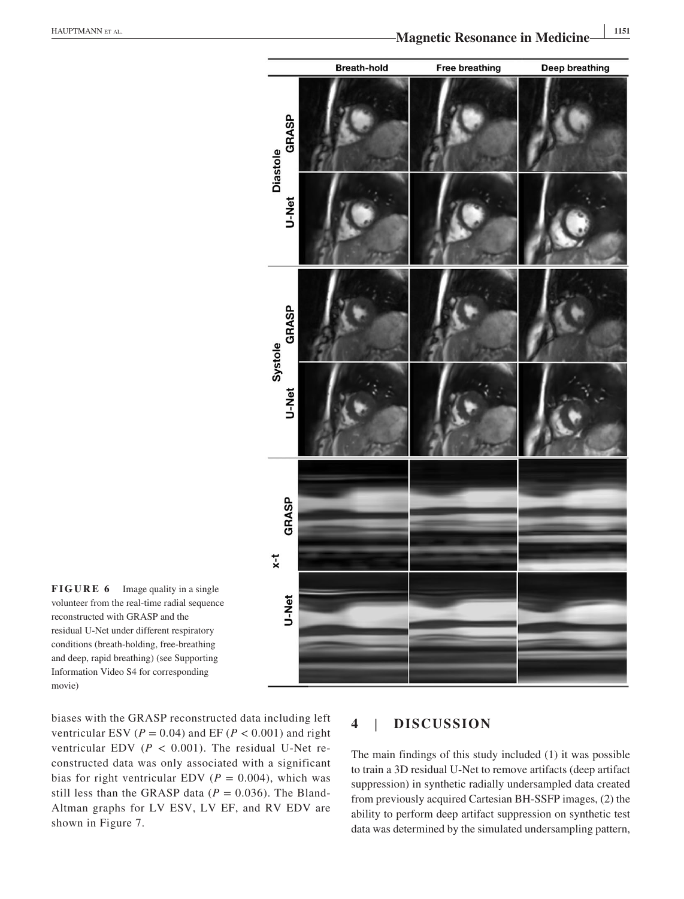



biases with the GRASP reconstructed data including left ventricular ESV ( $P = 0.04$ ) and EF ( $P < 0.001$ ) and right ventricular EDV  $(P < 0.001)$ . The residual U-Net reconstructed data was only associated with a significant bias for right ventricular EDV ( $P = 0.004$ ), which was still less than the GRASP data ( $P = 0.036$ ). The Bland-Altman graphs for LV ESV, LV EF, and RV EDV are shown in Figure 7.

### **4** | **DISCUSSION**

The main findings of this study included (1) it was possible to train a 3D residual U‐Net to remove artifacts (deep artifact suppression) in synthetic radially undersampled data created from previously acquired Cartesian BH‐SSFP images, (2) the ability to perform deep artifact suppression on synthetic test data was determined by the simulated undersampling pattern,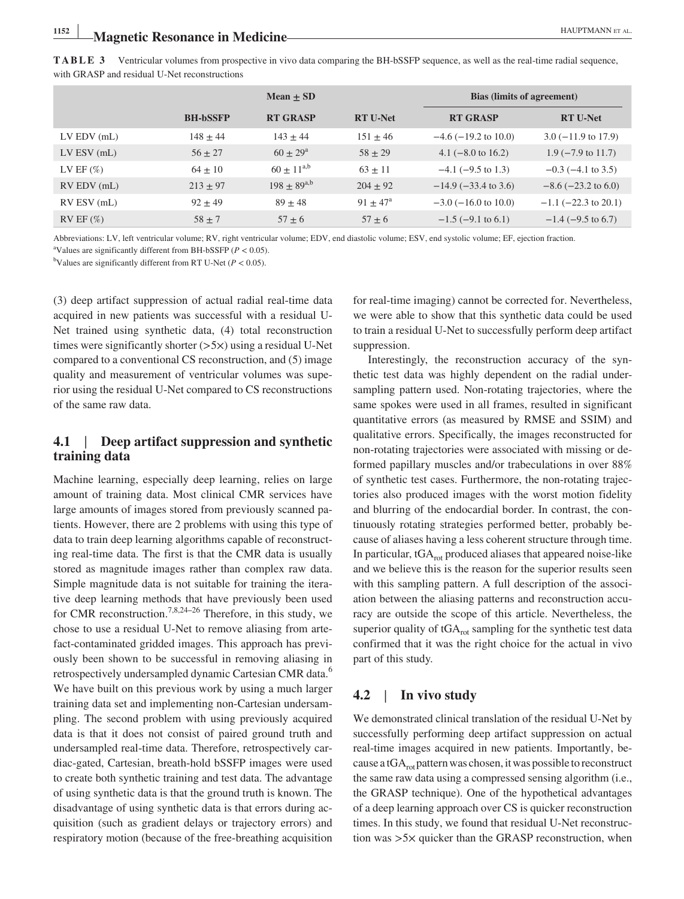**TABLE 3** Ventricular volumes from prospective in vivo data comparing the BH‐bSSFP sequence, as well as the real‐time radial sequence, with GRASP and residual U-Net reconstructions

|                 |                 | Mean $\pm$ SD       |                   | <b>Bias (limits of agreement)</b> |                                |
|-----------------|-----------------|---------------------|-------------------|-----------------------------------|--------------------------------|
|                 | <b>BH-bSSFP</b> | <b>RT GRASP</b>     | <b>RT U-Net</b>   | <b>RT GRASP</b>                   | <b>RT U-Net</b>                |
| $LV$ EDV $(mL)$ | $148 \pm 44$    | $143 \pm 44$        | $151 \pm 46$      | $-4.6$ ( $-19.2$ to 10.0)         | $3.0 (-11.9 \text{ to } 17.9)$ |
| $LV$ ESV (mL)   | $56 \pm 27$     | $60 \pm 29^{\rm a}$ | $58 \pm 29$       | 4.1 $(-8.0 \text{ to } 16.2)$     | $1.9$ ( $-7.9$ to 11.7)        |
| LV EF $(\%)$    | $64 \pm 10$     | $60 \pm 11^{a,b}$   | $63 \pm 11$       | $-4.1$ ( $-9.5$ to 1.3)           | $-0.3$ ( $-4.1$ to 3.5)        |
| $RV$ EDV $(mL)$ | $213 \pm 97$    | $198 \pm 89^{a,b}$  | $204 \pm 92$      | $-14.9$ ( $-33.4$ to 3.6)         | $-8.6$ ( $-23.2$ to 6.0)       |
| RV ESV (mL)     | $92 \pm 49$     | $89 \pm 48$         | $91 + 47^{\circ}$ | $-3.0$ ( $-16.0$ to 10.0)         | $-1.1$ ( $-22.3$ to 20.1)      |
| $RV$ EF $(\%)$  | $58 \pm 7$      | $57 \pm 6$          | $57 \pm 6$        | $-1.5$ (-9.1 to 6.1)              | $-1.4$ ( $-9.5$ to 6.7)        |

Abbreviations: LV, left ventricular volume; RV, right ventricular volume; EDV, end diastolic volume; ESV, end systolic volume; EF, ejection fraction. <sup>a</sup>Values are significantly different from BH-bSSFP (*P* < 0.05).<br><sup>b</sup>Values are significantly different from RT U-Net (*P <* 0.05)

<sup>b</sup>Values are significantly different from RT U-Net ( $P < 0.05$ ).

(3) deep artifact suppression of actual radial real‐time data acquired in new patients was successful with a residual U‐ Net trained using synthetic data, (4) total reconstruction times were significantly shorter (>5×) using a residual U‐Net compared to a conventional CS reconstruction, and (5) image quality and measurement of ventricular volumes was superior using the residual U‐Net compared to CS reconstructions of the same raw data.

### **4.1** | **Deep artifact suppression and synthetic training data**

Machine learning, especially deep learning, relies on large amount of training data. Most clinical CMR services have large amounts of images stored from previously scanned patients. However, there are 2 problems with using this type of data to train deep learning algorithms capable of reconstructing real‐time data. The first is that the CMR data is usually stored as magnitude images rather than complex raw data. Simple magnitude data is not suitable for training the iterative deep learning methods that have previously been used for CMR reconstruction.<sup>7,8,24–26</sup> Therefore, in this study, we chose to use a residual U‐Net to remove aliasing from artefact-contaminated gridded images. This approach has previously been shown to be successful in removing aliasing in retrospectively undersampled dynamic Cartesian CMR data.<sup>6</sup> We have built on this previous work by using a much larger training data set and implementing non‐Cartesian undersampling. The second problem with using previously acquired data is that it does not consist of paired ground truth and undersampled real‐time data. Therefore, retrospectively cardiac‐gated, Cartesian, breath‐hold bSSFP images were used to create both synthetic training and test data. The advantage of using synthetic data is that the ground truth is known. The disadvantage of using synthetic data is that errors during acquisition (such as gradient delays or trajectory errors) and respiratory motion (because of the free‐breathing acquisition

for real-time imaging) cannot be corrected for. Nevertheless, we were able to show that this synthetic data could be used to train a residual U‐Net to successfully perform deep artifact suppression.

Interestingly, the reconstruction accuracy of the synthetic test data was highly dependent on the radial undersampling pattern used. Non-rotating trajectories, where the same spokes were used in all frames, resulted in significant quantitative errors (as measured by RMSE and SSIM) and qualitative errors. Specifically, the images reconstructed for non‐rotating trajectories were associated with missing or deformed papillary muscles and/or trabeculations in over 88% of synthetic test cases. Furthermore, the non‐rotating trajectories also produced images with the worst motion fidelity and blurring of the endocardial border. In contrast, the continuously rotating strategies performed better, probably because of aliases having a less coherent structure through time. In particular,  $tGA_{rot}$  produced aliases that appeared noise-like and we believe this is the reason for the superior results seen with this sampling pattern. A full description of the association between the aliasing patterns and reconstruction accuracy are outside the scope of this article. Nevertheless, the superior quality of  $tGA_{rot}$  sampling for the synthetic test data confirmed that it was the right choice for the actual in vivo part of this study.

### **4.2** | **In vivo study**

We demonstrated clinical translation of the residual U‐Net by successfully performing deep artifact suppression on actual real-time images acquired in new patients. Importantly, because a tGA $_{\text{rot}}$  pattern was chosen, it was possible to reconstruct the same raw data using a compressed sensing algorithm (i.e., the GRASP technique). One of the hypothetical advantages of a deep learning approach over CS is quicker reconstruction times. In this study, we found that residual U‐Net reconstruction was >5× quicker than the GRASP reconstruction, when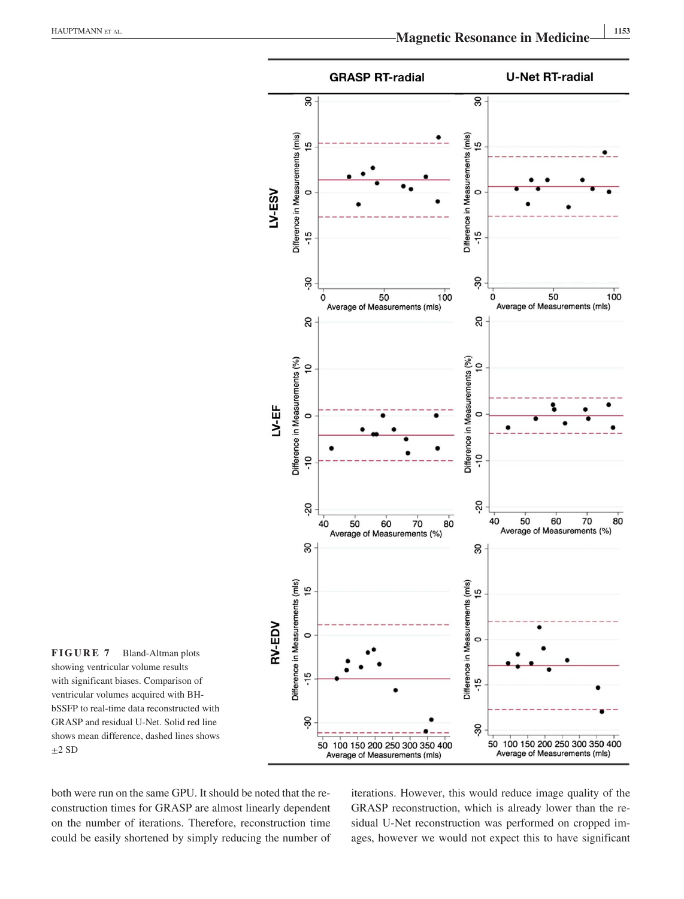

**FIGURE 7** Bland‐Altman plots showing ventricular volume results with significant biases. Comparison of ventricular volumes acquired with BH‐ bSSFP to real‐time data reconstructed with GRASP and residual U‐Net. Solid red line shows mean difference, dashed lines shows  $\pm 2$  SD

both were run on the same GPU. It should be noted that the reconstruction times for GRASP are almost linearly dependent on the number of iterations. Therefore, reconstruction time could be easily shortened by simply reducing the number of iterations. However, this would reduce image quality of the GRASP reconstruction, which is already lower than the residual U-Net reconstruction was performed on cropped images, however we would not expect this to have significant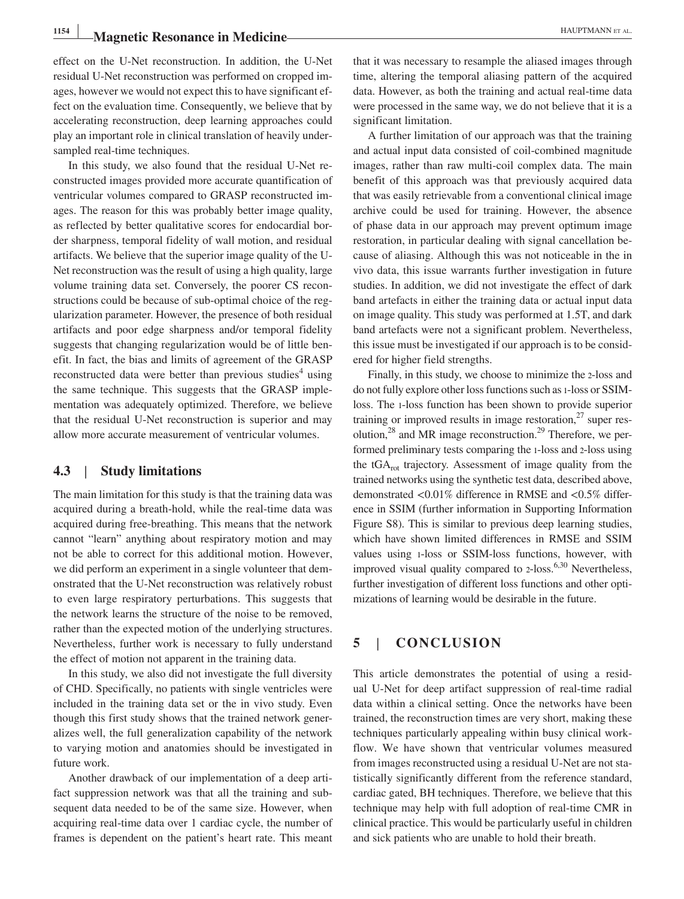# **1154 |Magnetic Resonance in Medicine |***CONDERNATE ALL* **<b>PROPERTY AND ET AL.**

effect on the U‐Net reconstruction. In addition, the U‐Net residual U-Net reconstruction was performed on cropped images, however we would not expect this to have significant effect on the evaluation time. Consequently, we believe that by accelerating reconstruction, deep learning approaches could play an important role in clinical translation of heavily undersampled real-time techniques.

In this study, we also found that the residual U‐Net reconstructed images provided more accurate quantification of ventricular volumes compared to GRASP reconstructed images. The reason for this was probably better image quality, as reflected by better qualitative scores for endocardial border sharpness, temporal fidelity of wall motion, and residual artifacts. We believe that the superior image quality of the U‐ Net reconstruction was the result of using a high quality, large volume training data set. Conversely, the poorer CS reconstructions could be because of sub‐optimal choice of the regularization parameter. However, the presence of both residual artifacts and poor edge sharpness and/or temporal fidelity suggests that changing regularization would be of little benefit. In fact, the bias and limits of agreement of the GRASP reconstructed data were better than previous studies<sup>4</sup> using the same technique. This suggests that the GRASP implementation was adequately optimized. Therefore, we believe that the residual U‐Net reconstruction is superior and may allow more accurate measurement of ventricular volumes.

### **4.3** | **Study limitations**

The main limitation for this study is that the training data was acquired during a breath‐hold, while the real‐time data was acquired during free‐breathing. This means that the network cannot "learn" anything about respiratory motion and may not be able to correct for this additional motion. However, we did perform an experiment in a single volunteer that demonstrated that the U‐Net reconstruction was relatively robust to even large respiratory perturbations. This suggests that the network learns the structure of the noise to be removed, rather than the expected motion of the underlying structures. Nevertheless, further work is necessary to fully understand the effect of motion not apparent in the training data.

In this study, we also did not investigate the full diversity of CHD. Specifically, no patients with single ventricles were included in the training data set or the in vivo study. Even though this first study shows that the trained network generalizes well, the full generalization capability of the network to varying motion and anatomies should be investigated in future work.

Another drawback of our implementation of a deep artifact suppression network was that all the training and subsequent data needed to be of the same size. However, when acquiring real‐time data over 1 cardiac cycle, the number of frames is dependent on the patient's heart rate. This meant

that it was necessary to resample the aliased images through time, altering the temporal aliasing pattern of the acquired data. However, as both the training and actual real‐time data were processed in the same way, we do not believe that it is a significant limitation.

A further limitation of our approach was that the training and actual input data consisted of coil‐combined magnitude images, rather than raw multi-coil complex data. The main benefit of this approach was that previously acquired data that was easily retrievable from a conventional clinical image archive could be used for training. However, the absence of phase data in our approach may prevent optimum image restoration, in particular dealing with signal cancellation because of aliasing. Although this was not noticeable in the in vivo data, this issue warrants further investigation in future studies. In addition, we did not investigate the effect of dark band artefacts in either the training data or actual input data on image quality. This study was performed at 1.5T, and dark band artefacts were not a significant problem. Nevertheless, this issue must be investigated if our approach is to be considered for higher field strengths.

Finally, in this study, we choose to minimize the 2‐loss and do not fully explore other loss functions such as 1‐loss or SSIM‐ loss. The 1‐loss function has been shown to provide superior training or improved results in image restoration, $27$  super resolution, $^{28}$  and MR image reconstruction.<sup>29</sup> Therefore, we performed preliminary tests comparing the 1‐loss and 2‐loss using the  $tGA_{rot}$  trajectory. Assessment of image quality from the trained networks using the synthetic test data, described above, demonstrated <0.01% difference in RMSE and <0.5% difference in SSIM (further information in Supporting Information Figure S8). This is similar to previous deep learning studies, which have shown limited differences in RMSE and SSIM values using 1‐loss or SSIM‐loss functions, however, with improved visual quality compared to 2-loss.<sup>6,30</sup> Nevertheless, further investigation of different loss functions and other optimizations of learning would be desirable in the future.

### **5** | **CONCLUSION**

This article demonstrates the potential of using a residual U‐Net for deep artifact suppression of real‐time radial data within a clinical setting. Once the networks have been trained, the reconstruction times are very short, making these techniques particularly appealing within busy clinical workflow. We have shown that ventricular volumes measured from images reconstructed using a residual U‐Net are not statistically significantly different from the reference standard, cardiac gated, BH techniques. Therefore, we believe that this technique may help with full adoption of real‐time CMR in clinical practice. This would be particularly useful in children and sick patients who are unable to hold their breath.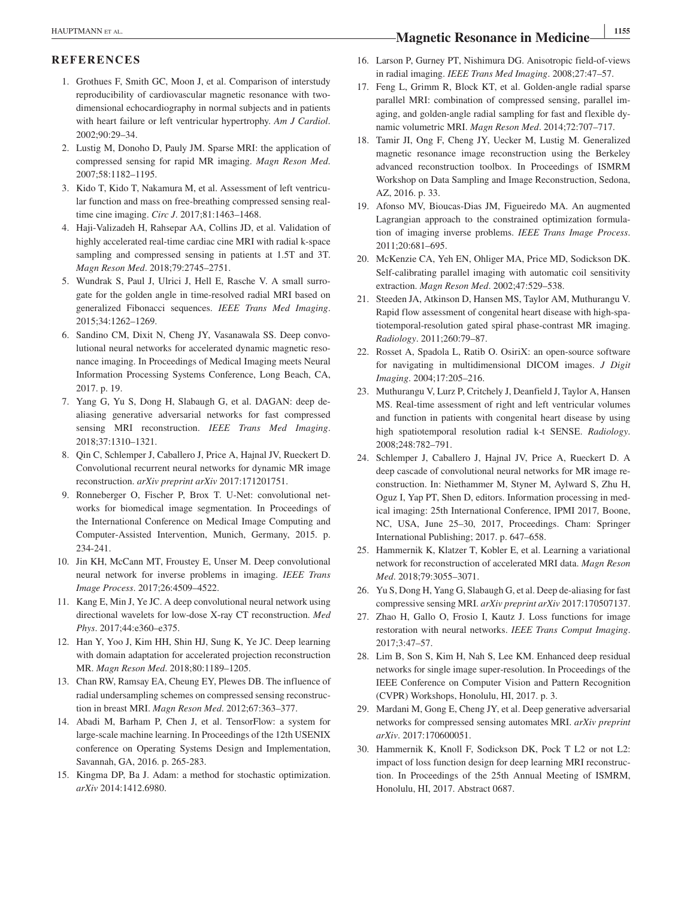# **<sup>|</sup>** HAUPTMANN et al. **<sup>1155</sup> Magnetic Resonance in Medicine**

### **REFERENCES**

- 1. Grothues F, Smith GC, Moon J, et al. Comparison of interstudy reproducibility of cardiovascular magnetic resonance with twodimensional echocardiography in normal subjects and in patients with heart failure or left ventricular hypertrophy. *Am J Cardiol*. 2002;90:29–34.
- 2. Lustig M, Donoho D, Pauly JM. Sparse MRI: the application of compressed sensing for rapid MR imaging. *Magn Reson Med*. 2007;58:1182–1195.
- 3. Kido T, Kido T, Nakamura M, et al. Assessment of left ventricular function and mass on free‐breathing compressed sensing real‐ time cine imaging. *Circ J*. 2017;81:1463–1468.
- 4. Haji‐Valizadeh H, Rahsepar AA, Collins JD, et al. Validation of highly accelerated real-time cardiac cine MRI with radial k-space sampling and compressed sensing in patients at 1.5T and 3T. *Magn Reson Med*. 2018;79:2745–2751.
- 5. Wundrak S, Paul J, Ulrici J, Hell E, Rasche V. A small surrogate for the golden angle in time‐resolved radial MRI based on generalized Fibonacci sequences. *IEEE Trans Med Imaging*. 2015;34:1262–1269.
- 6. Sandino CM, Dixit N, Cheng JY, Vasanawala SS. Deep convolutional neural networks for accelerated dynamic magnetic resonance imaging. In Proceedings of Medical Imaging meets Neural Information Processing Systems Conference, Long Beach, CA, 2017. p. 19.
- 7. Yang G, Yu S, Dong H, Slabaugh G, et al. DAGAN: deep de‐ aliasing generative adversarial networks for fast compressed sensing MRI reconstruction. *IEEE Trans Med Imaging*. 2018;37:1310–1321.
- 8. Qin C, Schlemper J, Caballero J, Price A, Hajnal JV, Rueckert D. Convolutional recurrent neural networks for dynamic MR image reconstruction. *arXiv preprint arXiv* 2017:171201751.
- 9. Ronneberger O, Fischer P, Brox T. U‐Net: convolutional networks for biomedical image segmentation. In Proceedings of the International Conference on Medical Image Computing and Computer‐Assisted Intervention, Munich, Germany, 2015. p. 234‐241.
- 10. Jin KH, McCann MT, Froustey E, Unser M. Deep convolutional neural network for inverse problems in imaging. *IEEE Trans Image Process*. 2017;26:4509–4522.
- 11. Kang E, Min J, Ye JC. A deep convolutional neural network using directional wavelets for low‐dose X‐ray CT reconstruction. *Med Phys*. 2017;44:e360–e375.
- 12. Han Y, Yoo J, Kim HH, Shin HJ, Sung K, Ye JC. Deep learning with domain adaptation for accelerated projection reconstruction MR. *Magn Reson Med*. 2018;80:1189–1205.
- 13. Chan RW, Ramsay EA, Cheung EY, Plewes DB. The influence of radial undersampling schemes on compressed sensing reconstruction in breast MRI. *Magn Reson Med*. 2012;67:363–377.
- 14. Abadi M, Barham P, Chen J, et al. TensorFlow: a system for large‐scale machine learning. In Proceedings of the 12th USENIX conference on Operating Systems Design and Implementation, Savannah, GA, 2016. p. 265‐283.
- 15. Kingma DP, Ba J. Adam: a method for stochastic optimization. *arXiv* 2014:1412.6980.
- 16. Larson P, Gurney PT, Nishimura DG. Anisotropic field‐of‐views in radial imaging. *IEEE Trans Med Imaging*. 2008;27:47–57.
- 17. Feng L, Grimm R, Block KT, et al. Golden‐angle radial sparse parallel MRI: combination of compressed sensing, parallel imaging, and golden‐angle radial sampling for fast and flexible dynamic volumetric MRI. *Magn Reson Med*. 2014;72:707–717.
- 18. Tamir JI, Ong F, Cheng JY, Uecker M, Lustig M. Generalized magnetic resonance image reconstruction using the Berkeley advanced reconstruction toolbox. In Proceedings of ISMRM Workshop on Data Sampling and Image Reconstruction, Sedona, AZ, 2016. p. 33.
- 19. Afonso MV, Bioucas‐Dias JM, Figueiredo MA. An augmented Lagrangian approach to the constrained optimization formulation of imaging inverse problems. *IEEE Trans Image Process*. 2011;20:681–695.
- 20. McKenzie CA, Yeh EN, Ohliger MA, Price MD, Sodickson DK. Self-calibrating parallel imaging with automatic coil sensitivity extraction. *Magn Reson Med*. 2002;47:529–538.
- 21. Steeden JA, Atkinson D, Hansen MS, Taylor AM, Muthurangu V. Rapid flow assessment of congenital heart disease with high‐spatiotemporal‐resolution gated spiral phase‐contrast MR imaging. *Radiology*. 2011;260:79–87.
- 22. Rosset A, Spadola L, Ratib O. OsiriX: an open‐source software for navigating in multidimensional DICOM images. *J Digit Imaging*. 2004;17:205–216.
- 23. Muthurangu V, Lurz P, Critchely J, Deanfield J, Taylor A, Hansen MS. Real‐time assessment of right and left ventricular volumes and function in patients with congenital heart disease by using high spatiotemporal resolution radial k‐t SENSE. *Radiology*. 2008;248:782–791.
- 24. Schlemper J, Caballero J, Hajnal JV, Price A, Rueckert D. A deep cascade of convolutional neural networks for MR image reconstruction. In: Niethammer M, Styner M, Aylward S, Zhu H, Oguz I, Yap PT, Shen D, editors. Information processing in medical imaging: 25th International Conference, IPMI 2017*,* Boone, NC, USA, June 25–30, 2017, Proceedings. Cham: Springer International Publishing; 2017. p. 647–658.
- 25. Hammernik K, Klatzer T, Kobler E, et al. Learning a variational network for reconstruction of accelerated MRI data. *Magn Reson Med*. 2018;79:3055–3071.
- 26. Yu S, Dong H, Yang G, Slabaugh G, et al. Deep de‐aliasing for fast compressive sensing MRI. *arXiv preprint arXiv* 2017:170507137.
- 27. Zhao H, Gallo O, Frosio I, Kautz J. Loss functions for image restoration with neural networks. *IEEE Trans Comput Imaging*. 2017;3:47–57.
- 28. Lim B, Son S, Kim H, Nah S, Lee KM. Enhanced deep residual networks for single image super‐resolution. In Proceedings of the IEEE Conference on Computer Vision and Pattern Recognition (CVPR) Workshops, Honolulu, HI, 2017. p. 3.
- 29. Mardani M, Gong E, Cheng JY, et al. Deep generative adversarial networks for compressed sensing automates MRI. *arXiv preprint arXiv*. 2017:170600051.
- 30. Hammernik K, Knoll F, Sodickson DK, Pock T L2 or not L2: impact of loss function design for deep learning MRI reconstruction. In Proceedings of the 25th Annual Meeting of ISMRM, Honolulu, HI, 2017. Abstract 0687.